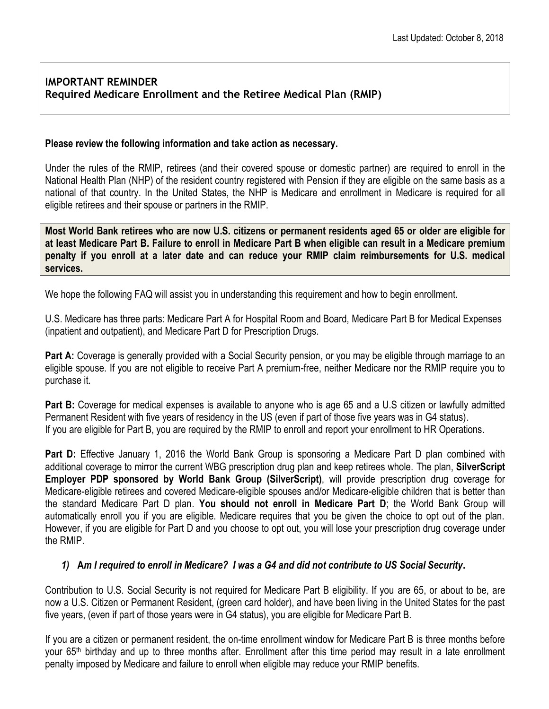## **IMPORTANT REMINDER Required Medicare Enrollment and the Retiree Medical Plan (RMIP)**

#### **Please review the following information and take action as necessary.**

Under the rules of the RMIP, retirees (and their covered spouse or domestic partner) are required to enroll in the National Health Plan (NHP) of the resident country registered with Pension if they are eligible on the same basis as a national of that country. In the United States, the NHP is Medicare and enrollment in Medicare is required for all eligible retirees and their spouse or partners in the RMIP.

**Most World Bank retirees who are now U.S. citizens or permanent residents aged 65 or older are eligible for at least Medicare Part B. Failure to enroll in Medicare Part B when eligible can result in a Medicare premium penalty if you enroll at a later date and can reduce your RMIP claim reimbursements for U.S. medical services.**

We hope the following FAQ will assist you in understanding this requirement and how to begin enrollment.

U.S. Medicare has three parts: Medicare Part A for Hospital Room and Board, Medicare Part B for Medical Expenses (inpatient and outpatient), and Medicare Part D for Prescription Drugs.

**Part A:** Coverage is generally provided with a Social Security pension, or you may be eligible through marriage to an eligible spouse. If you are not eligible to receive Part A premium-free, neither Medicare nor the RMIP require you to purchase it.

**Part B:** Coverage for medical expenses is available to anyone who is age 65 and a U.S citizen or lawfully admitted Permanent Resident with five years of residency in the US (even if part of those five years was in G4 status). If you are eligible for Part B, you are required by the RMIP to enroll and report your enrollment to HR Operations.

**Part D:** Effective January 1, 2016 the World Bank Group is sponsoring a Medicare Part D plan combined with additional coverage to mirror the current WBG prescription drug plan and keep retirees whole. The plan, **SilverScript Employer PDP sponsored by World Bank Group (SilverScript)**, will provide prescription drug coverage for Medicare-eligible retirees and covered Medicare-eligible spouses and/or Medicare-eligible children that is better than the standard Medicare Part D plan. **You should not enroll in Medicare Part D**; the World Bank Group will automatically enroll you if you are eligible. Medicare requires that you be given the choice to opt out of the plan. However, if you are eligible for Part D and you choose to opt out, you will lose your prescription drug coverage under the RMIP.

#### *1)* **A***m I required to enroll in Medicare? I was a G4 and did not contribute to US Social Security***.**

Contribution to U.S. Social Security is not required for Medicare Part B eligibility. If you are 65, or about to be, are now a U.S. Citizen or Permanent Resident, (green card holder), and have been living in the United States for the past five years, (even if part of those years were in G4 status), you are eligible for Medicare Part B.

If you are a citizen or permanent resident, the on-time enrollment window for Medicare Part B is three months before your 65<sup>th</sup> birthday and up to three months after. Enrollment after this time period may result in a late enrollment penalty imposed by Medicare and failure to enroll when eligible may reduce your RMIP benefits.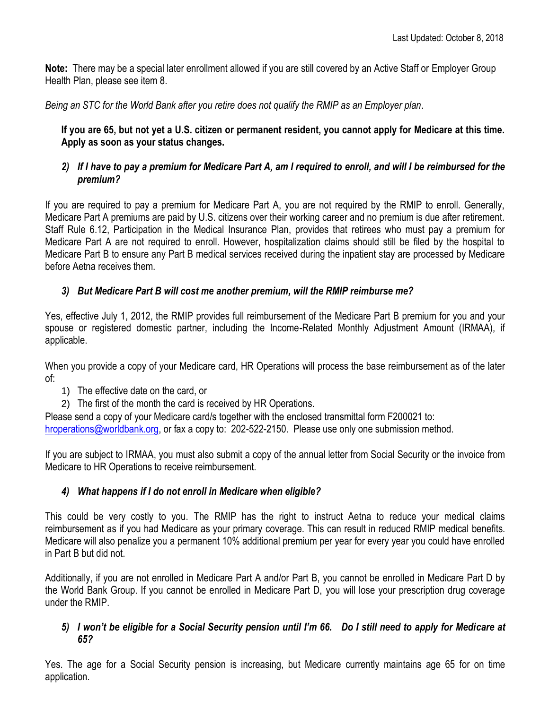**Note:** There may be a special later enrollment allowed if you are still covered by an Active Staff or Employer Group Health Plan, please see item 8.

*Being an STC for the World Bank after you retire does not qualify the RMIP as an Employer plan.*

**If you are 65, but not yet a U.S. citizen or permanent resident, you cannot apply for Medicare at this time. Apply as soon as your status changes.**

## *2) If I have to pay a premium for Medicare Part A, am I required to enroll, and will I be reimbursed for the premium?*

If you are required to pay a premium for Medicare Part A, you are not required by the RMIP to enroll. Generally, Medicare Part A premiums are paid by U.S. citizens over their working career and no premium is due after retirement. Staff Rule 6.12, Participation in the Medical Insurance Plan, provides that retirees who must pay a premium for Medicare Part A are not required to enroll. However, hospitalization claims should still be filed by the hospital to Medicare Part B to ensure any Part B medical services received during the inpatient stay are processed by Medicare before Aetna receives them.

# *3) But Medicare Part B will cost me another premium, will the RMIP reimburse me?*

Yes, effective July 1, 2012, the RMIP provides full reimbursement of the Medicare Part B premium for you and your spouse or registered domestic partner, including the Income-Related Monthly Adjustment Amount (IRMAA), if applicable.

When you provide a copy of your Medicare card, HR Operations will process the base reimbursement as of the later of:

- 1) The effective date on the card, or
- 2) The first of the month the card is received by HR Operations.

Please send a copy of your Medicare card/s together with the enclosed transmittal form F200021 to: hroperations@worldbank.org, or fax a copy to: 202-522-2150. Please use only one submission method.

If you are subject to IRMAA, you must also submit a copy of the annual letter from Social Security or the invoice from Medicare to HR Operations to receive reimbursement.

# *4) What happens if I do not enroll in Medicare when eligible?*

This could be very costly to you. The RMIP has the right to instruct Aetna to reduce your medical claims reimbursement as if you had Medicare as your primary coverage. This can result in reduced RMIP medical benefits. Medicare will also penalize you a permanent 10% additional premium per year for every year you could have enrolled in Part B but did not.

Additionally, if you are not enrolled in Medicare Part A and/or Part B, you cannot be enrolled in Medicare Part D by the World Bank Group. If you cannot be enrolled in Medicare Part D, you will lose your prescription drug coverage under the RMIP.

#### *5) I won't be eligible for a Social Security pension until I'm 66. Do I still need to apply for Medicare at 65?*

Yes. The age for a Social Security pension is increasing, but Medicare currently maintains age 65 for on time application.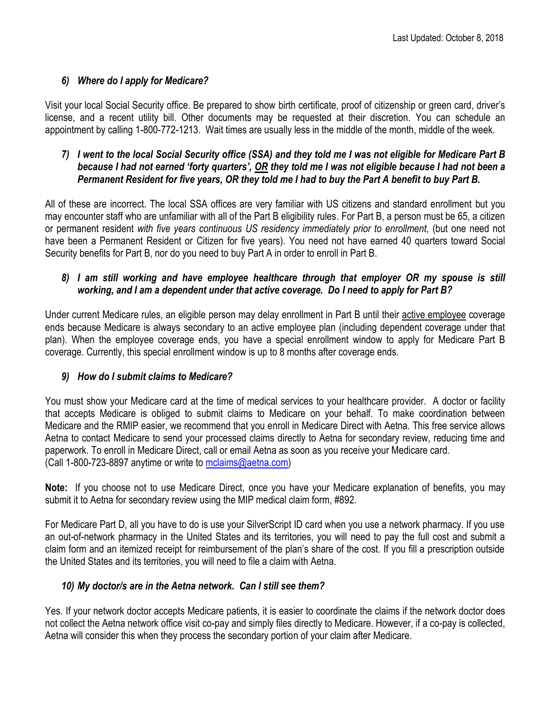# *6) Where do I apply for Medicare?*

Visit your local Social Security office. Be prepared to show birth certificate, proof of citizenship or green card, driver's license, and a recent utility bill. Other documents may be requested at their discretion. You can schedule an appointment by calling 1-800-772-1213. Wait times are usually less in the middle of the month, middle of the week.

## *7) I went to the local Social Security office (SSA) and they told me I was not eligible for Medicare Part B because I had not earned 'forty quarters', OR they told me I was not eligible because I had not been a Permanent Resident for five years, OR they told me I had to buy the Part A benefit to buy Part B.*

All of these are incorrect. The local SSA offices are very familiar with US citizens and standard enrollment but you may encounter staff who are unfamiliar with all of the Part B eligibility rules. For Part B, a person must be 65, a citizen or permanent resident *with five years continuous US residency immediately prior to enrollment,* (but one need not have been a Permanent Resident or Citizen for five years). You need not have earned 40 quarters toward Social Security benefits for Part B, nor do you need to buy Part A in order to enroll in Part B.

## *8) I am still working and have employee healthcare through that employer OR my spouse is still working, and I am a dependent under that active coverage. Do I need to apply for Part B?*

Under current Medicare rules, an eligible person may delay enrollment in Part B until their active employee coverage ends because Medicare is always secondary to an active employee plan (including dependent coverage under that plan). When the employee coverage ends, you have a special enrollment window to apply for Medicare Part B coverage. Currently, this special enrollment window is up to 8 months after coverage ends.

# *9) How do I submit claims to Medicare?*

You must show your Medicare card at the time of medical services to your healthcare provider. A doctor or facility that accepts Medicare is obliged to submit claims to Medicare on your behalf. To make coordination between Medicare and the RMIP easier, we recommend that you enroll in Medicare Direct with Aetna. This free service allows Aetna to contact Medicare to send your processed claims directly to Aetna for secondary review, reducing time and paperwork. To enroll in Medicare Direct, call or email Aetna as soon as you receive your Medicare card. (Call 1-800-723-8897 anytime or write to [mclaims@aetna.com\)](mailto:mclaims@aetna.com)

**Note:** If you choose not to use Medicare Direct, once you have your Medicare explanation of benefits, you may submit it to Aetna for secondary review using the MIP medical claim form, #892.

For Medicare Part D, all you have to do is use your SilverScript ID card when you use a network pharmacy. If you use an out-of-network pharmacy in the United States and its territories, you will need to pay the full cost and submit a claim form and an itemized receipt for reimbursement of the plan's share of the cost. If you fill a prescription outside the United States and its territories, you will need to file a claim with Aetna.

# *10) My doctor/s are in the Aetna network. Can I still see them?*

Yes. If your network doctor accepts Medicare patients, it is easier to coordinate the claims if the network doctor does not collect the Aetna network office visit co-pay and simply files directly to Medicare. However, if a co-pay is collected, Aetna will consider this when they process the secondary portion of your claim after Medicare.